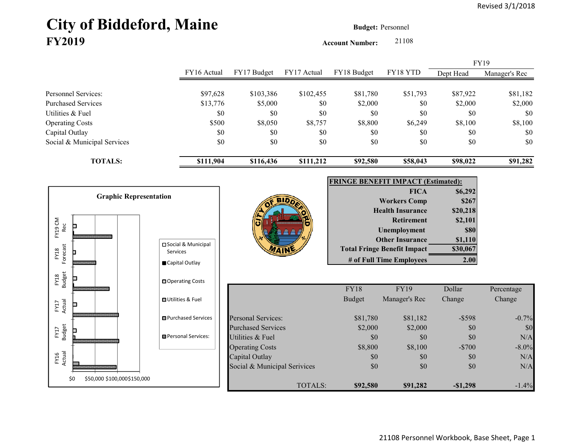# City of Biddeford, Maine **Budget: Personnel FY2019**

**Account Number:** 21108

|                             |             |             |             |             |          |           | FY19          |
|-----------------------------|-------------|-------------|-------------|-------------|----------|-----------|---------------|
|                             | FY16 Actual | FY17 Budget | FY17 Actual | FY18 Budget | FY18 YTD | Dept Head | Manager's Rec |
|                             |             |             |             |             |          |           |               |
| Personnel Services:         | \$97,628    | \$103,386   | \$102,455   | \$81,780    | \$51,793 | \$87,922  | \$81,182      |
| Purchased Services          | \$13,776    | \$5,000     | \$0         | \$2,000     | \$0      | \$2,000   | \$2,000       |
| Utilities & Fuel            | \$0         | \$0         | \$0         | \$0         | \$0      | \$0       | \$0           |
| <b>Operating Costs</b>      | \$500       | \$8,050     | \$8,757     | \$8,800     | \$6,249  | \$8,100   | \$8,100       |
| Capital Outlay              | \$0         | \$0         | \$0         | \$0         | \$0      | \$0       | \$0           |
| Social & Municipal Services | \$0         | \$0         | \$0         | \$0         | \$0      | \$0       | \$0           |
| <b>TOTALS:</b>              | \$111,904   | \$116,436   | \$111,212   | \$92,580    | \$58,043 | \$98,022  | \$91,282      |





| <b>FRINGE BENEFIT IMPACT (Estimated):</b> |             |  |  |  |  |  |
|-------------------------------------------|-------------|--|--|--|--|--|
| <b>FICA</b>                               | \$6,292     |  |  |  |  |  |
| <b>Workers Comp</b>                       | \$267       |  |  |  |  |  |
| <b>Health Insurance</b>                   | \$20,218    |  |  |  |  |  |
| <b>Retirement</b>                         | \$2,101     |  |  |  |  |  |
| <b>Unemployment</b>                       | <b>\$80</b> |  |  |  |  |  |
| <b>Other Insurance</b>                    | \$1,110     |  |  |  |  |  |
| <b>Total Fringe Benefit Impact</b>        | \$30,067    |  |  |  |  |  |
| # of Full Time Employees                  |             |  |  |  |  |  |

|                              | <b>FY18</b>   | <b>FY19</b>   | Dollar     | Percentage |
|------------------------------|---------------|---------------|------------|------------|
|                              | <b>Budget</b> | Manager's Rec | Change     | Change     |
| Personal Services:           | \$81,780      | \$81,182      | $-$ \$598  | $-0.7\%$   |
| <b>Purchased Services</b>    | \$2,000       | \$2,000       | \$0        | \$0        |
| Utilities & Fuel             | \$0           | \$0           | \$0        | N/A        |
| <b>Operating Costs</b>       | \$8,800       | \$8,100       | $-$700$    | $-8.0\%$   |
| Capital Outlay               | \$0           | \$0           | \$0        | N/A        |
| Social & Municipal Serivices | \$0           | \$0           | \$0        | N/A        |
| TOTALS:                      | \$92,580      | \$91,282      | $-\$1,298$ | $-1.4\%$   |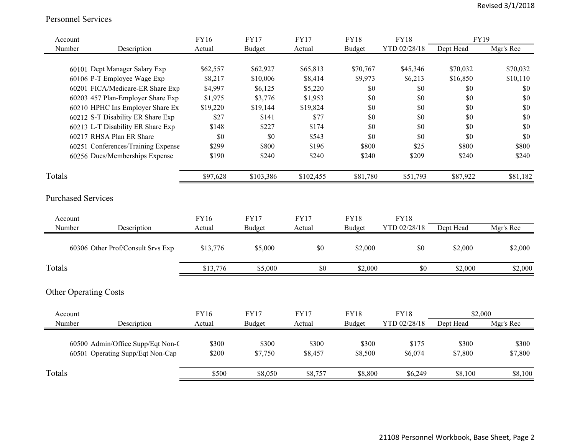#### Personnel Services

| Dept Head<br>Mgr's Rec<br>Number<br><b>Budget</b><br>YTD 02/28/18<br>Description<br>Actual<br>Actual<br><b>Budget</b><br>60101 Dept Manager Salary Exp<br>\$62,557<br>\$62,927<br>\$65,813<br>\$70,767<br>\$45,346<br>\$70,032<br>\$70,032<br>60106 P-T Employee Wage Exp<br>\$8,217<br>\$10,006<br>\$9,973<br>\$6,213<br>\$16,850<br>\$10,110<br>\$8,414<br>60201 FICA/Medicare-ER Share Exp<br>\$4,997<br>\$6,125<br>\$0<br>\$0<br>\$0<br>\$0<br>\$5,220<br>60203 457 Plan-Employer Share Exp<br>\$1,975<br>\$3,776<br>\$0<br>\$0<br>\$0<br>\$0<br>\$1,953<br>60210 HPHC Ins Employer Share Ex<br>\$19,824<br>\$0<br>\$19,220<br>\$19,144<br>\$0<br>\$0<br>\$0<br>60212 S-T Disability ER Share Exp<br>\$27<br>\$141<br>\$77<br>\$0<br>\$0<br>\$0<br>\$0<br>60213 L-T Disability ER Share Exp<br>\$174<br>\$0<br>\$148<br>\$227<br>\$0<br>\$0<br>\$0<br>60217 RHSA Plan ER Share<br>\$0<br>\$543<br>\$0<br>\$0<br>\$0<br>\$0<br>\$0<br>60251 Conferences/Training Expense<br>\$196<br>\$299<br>\$800<br>\$800<br>\$25<br>\$800<br>\$800<br>\$240<br>60256 Dues/Memberships Expense<br>\$190<br>\$240<br>\$240<br>\$240<br>\$209<br>\$240<br>Totals<br>\$81,182<br>\$97,628<br>\$103,386<br>\$102,455<br>\$81,780<br>\$51,793<br>\$87,922<br><b>Purchased Services</b><br><b>FY16</b><br><b>FY17</b><br><b>FY17</b><br><b>FY18</b><br><b>FY18</b><br>Account<br>Dept Head<br>Mgr's Rec<br>Description<br>YTD 02/28/18<br>Number<br>Actual<br>Budget<br><b>Budget</b><br>Actual<br>$\$0$<br>\$0<br>60306 Other Prof/Consult Srvs Exp<br>\$13,776<br>\$5,000<br>\$2,000<br>\$2,000<br>\$2,000<br>Totals<br>\$13,776<br>\$5,000<br>\$0<br>\$2,000<br>\$0<br>\$2,000<br>\$2,000<br><b>Other Operating Costs</b><br><b>FY16</b><br><b>FY17</b><br><b>FY17</b><br><b>FY18</b><br><b>FY18</b><br>\$2,000<br>Account<br>Number<br>Description<br><b>Budget</b><br>YTD 02/28/18<br>Dept Head<br>Mgr's Rec<br>Actual<br>Actual<br><b>Budget</b><br>60500 Admin/Office Supp/Eqt Non-C<br>\$300<br>\$300<br>\$300<br>\$300<br>\$175<br>\$300<br>\$300<br>60501 Operating Supp/Eqt Non-Cap<br>\$200<br>\$7,750<br>\$8,500<br>\$6,074<br>\$7,800<br>\$7,800<br>\$8,457<br>Totals<br>\$8,100<br>\$500<br>\$8,050<br>\$8,757<br>\$8,800<br>\$6,249<br>\$8,100 | Account | <b>FY16</b> | <b>FY17</b> | <b>FY17</b> | <b>FY18</b> | <b>FY18</b> | FY19 |  |
|------------------------------------------------------------------------------------------------------------------------------------------------------------------------------------------------------------------------------------------------------------------------------------------------------------------------------------------------------------------------------------------------------------------------------------------------------------------------------------------------------------------------------------------------------------------------------------------------------------------------------------------------------------------------------------------------------------------------------------------------------------------------------------------------------------------------------------------------------------------------------------------------------------------------------------------------------------------------------------------------------------------------------------------------------------------------------------------------------------------------------------------------------------------------------------------------------------------------------------------------------------------------------------------------------------------------------------------------------------------------------------------------------------------------------------------------------------------------------------------------------------------------------------------------------------------------------------------------------------------------------------------------------------------------------------------------------------------------------------------------------------------------------------------------------------------------------------------------------------------------------------------------------------------------------------------------------------------------------------------------------------------------------------------------------------------------------------------------------------------------------------------------------------------------------------------------------------------------------------------------|---------|-------------|-------------|-------------|-------------|-------------|------|--|
|                                                                                                                                                                                                                                                                                                                                                                                                                                                                                                                                                                                                                                                                                                                                                                                                                                                                                                                                                                                                                                                                                                                                                                                                                                                                                                                                                                                                                                                                                                                                                                                                                                                                                                                                                                                                                                                                                                                                                                                                                                                                                                                                                                                                                                                |         |             |             |             |             |             |      |  |
|                                                                                                                                                                                                                                                                                                                                                                                                                                                                                                                                                                                                                                                                                                                                                                                                                                                                                                                                                                                                                                                                                                                                                                                                                                                                                                                                                                                                                                                                                                                                                                                                                                                                                                                                                                                                                                                                                                                                                                                                                                                                                                                                                                                                                                                |         |             |             |             |             |             |      |  |
|                                                                                                                                                                                                                                                                                                                                                                                                                                                                                                                                                                                                                                                                                                                                                                                                                                                                                                                                                                                                                                                                                                                                                                                                                                                                                                                                                                                                                                                                                                                                                                                                                                                                                                                                                                                                                                                                                                                                                                                                                                                                                                                                                                                                                                                |         |             |             |             |             |             |      |  |
|                                                                                                                                                                                                                                                                                                                                                                                                                                                                                                                                                                                                                                                                                                                                                                                                                                                                                                                                                                                                                                                                                                                                                                                                                                                                                                                                                                                                                                                                                                                                                                                                                                                                                                                                                                                                                                                                                                                                                                                                                                                                                                                                                                                                                                                |         |             |             |             |             |             |      |  |
|                                                                                                                                                                                                                                                                                                                                                                                                                                                                                                                                                                                                                                                                                                                                                                                                                                                                                                                                                                                                                                                                                                                                                                                                                                                                                                                                                                                                                                                                                                                                                                                                                                                                                                                                                                                                                                                                                                                                                                                                                                                                                                                                                                                                                                                |         |             |             |             |             |             |      |  |
|                                                                                                                                                                                                                                                                                                                                                                                                                                                                                                                                                                                                                                                                                                                                                                                                                                                                                                                                                                                                                                                                                                                                                                                                                                                                                                                                                                                                                                                                                                                                                                                                                                                                                                                                                                                                                                                                                                                                                                                                                                                                                                                                                                                                                                                |         |             |             |             |             |             |      |  |
|                                                                                                                                                                                                                                                                                                                                                                                                                                                                                                                                                                                                                                                                                                                                                                                                                                                                                                                                                                                                                                                                                                                                                                                                                                                                                                                                                                                                                                                                                                                                                                                                                                                                                                                                                                                                                                                                                                                                                                                                                                                                                                                                                                                                                                                |         |             |             |             |             |             |      |  |
|                                                                                                                                                                                                                                                                                                                                                                                                                                                                                                                                                                                                                                                                                                                                                                                                                                                                                                                                                                                                                                                                                                                                                                                                                                                                                                                                                                                                                                                                                                                                                                                                                                                                                                                                                                                                                                                                                                                                                                                                                                                                                                                                                                                                                                                |         |             |             |             |             |             |      |  |
|                                                                                                                                                                                                                                                                                                                                                                                                                                                                                                                                                                                                                                                                                                                                                                                                                                                                                                                                                                                                                                                                                                                                                                                                                                                                                                                                                                                                                                                                                                                                                                                                                                                                                                                                                                                                                                                                                                                                                                                                                                                                                                                                                                                                                                                |         |             |             |             |             |             |      |  |
|                                                                                                                                                                                                                                                                                                                                                                                                                                                                                                                                                                                                                                                                                                                                                                                                                                                                                                                                                                                                                                                                                                                                                                                                                                                                                                                                                                                                                                                                                                                                                                                                                                                                                                                                                                                                                                                                                                                                                                                                                                                                                                                                                                                                                                                |         |             |             |             |             |             |      |  |
|                                                                                                                                                                                                                                                                                                                                                                                                                                                                                                                                                                                                                                                                                                                                                                                                                                                                                                                                                                                                                                                                                                                                                                                                                                                                                                                                                                                                                                                                                                                                                                                                                                                                                                                                                                                                                                                                                                                                                                                                                                                                                                                                                                                                                                                |         |             |             |             |             |             |      |  |
|                                                                                                                                                                                                                                                                                                                                                                                                                                                                                                                                                                                                                                                                                                                                                                                                                                                                                                                                                                                                                                                                                                                                                                                                                                                                                                                                                                                                                                                                                                                                                                                                                                                                                                                                                                                                                                                                                                                                                                                                                                                                                                                                                                                                                                                |         |             |             |             |             |             |      |  |
|                                                                                                                                                                                                                                                                                                                                                                                                                                                                                                                                                                                                                                                                                                                                                                                                                                                                                                                                                                                                                                                                                                                                                                                                                                                                                                                                                                                                                                                                                                                                                                                                                                                                                                                                                                                                                                                                                                                                                                                                                                                                                                                                                                                                                                                |         |             |             |             |             |             |      |  |
|                                                                                                                                                                                                                                                                                                                                                                                                                                                                                                                                                                                                                                                                                                                                                                                                                                                                                                                                                                                                                                                                                                                                                                                                                                                                                                                                                                                                                                                                                                                                                                                                                                                                                                                                                                                                                                                                                                                                                                                                                                                                                                                                                                                                                                                |         |             |             |             |             |             |      |  |
|                                                                                                                                                                                                                                                                                                                                                                                                                                                                                                                                                                                                                                                                                                                                                                                                                                                                                                                                                                                                                                                                                                                                                                                                                                                                                                                                                                                                                                                                                                                                                                                                                                                                                                                                                                                                                                                                                                                                                                                                                                                                                                                                                                                                                                                |         |             |             |             |             |             |      |  |
|                                                                                                                                                                                                                                                                                                                                                                                                                                                                                                                                                                                                                                                                                                                                                                                                                                                                                                                                                                                                                                                                                                                                                                                                                                                                                                                                                                                                                                                                                                                                                                                                                                                                                                                                                                                                                                                                                                                                                                                                                                                                                                                                                                                                                                                |         |             |             |             |             |             |      |  |
|                                                                                                                                                                                                                                                                                                                                                                                                                                                                                                                                                                                                                                                                                                                                                                                                                                                                                                                                                                                                                                                                                                                                                                                                                                                                                                                                                                                                                                                                                                                                                                                                                                                                                                                                                                                                                                                                                                                                                                                                                                                                                                                                                                                                                                                |         |             |             |             |             |             |      |  |
|                                                                                                                                                                                                                                                                                                                                                                                                                                                                                                                                                                                                                                                                                                                                                                                                                                                                                                                                                                                                                                                                                                                                                                                                                                                                                                                                                                                                                                                                                                                                                                                                                                                                                                                                                                                                                                                                                                                                                                                                                                                                                                                                                                                                                                                |         |             |             |             |             |             |      |  |
|                                                                                                                                                                                                                                                                                                                                                                                                                                                                                                                                                                                                                                                                                                                                                                                                                                                                                                                                                                                                                                                                                                                                                                                                                                                                                                                                                                                                                                                                                                                                                                                                                                                                                                                                                                                                                                                                                                                                                                                                                                                                                                                                                                                                                                                |         |             |             |             |             |             |      |  |
|                                                                                                                                                                                                                                                                                                                                                                                                                                                                                                                                                                                                                                                                                                                                                                                                                                                                                                                                                                                                                                                                                                                                                                                                                                                                                                                                                                                                                                                                                                                                                                                                                                                                                                                                                                                                                                                                                                                                                                                                                                                                                                                                                                                                                                                |         |             |             |             |             |             |      |  |
|                                                                                                                                                                                                                                                                                                                                                                                                                                                                                                                                                                                                                                                                                                                                                                                                                                                                                                                                                                                                                                                                                                                                                                                                                                                                                                                                                                                                                                                                                                                                                                                                                                                                                                                                                                                                                                                                                                                                                                                                                                                                                                                                                                                                                                                |         |             |             |             |             |             |      |  |
|                                                                                                                                                                                                                                                                                                                                                                                                                                                                                                                                                                                                                                                                                                                                                                                                                                                                                                                                                                                                                                                                                                                                                                                                                                                                                                                                                                                                                                                                                                                                                                                                                                                                                                                                                                                                                                                                                                                                                                                                                                                                                                                                                                                                                                                |         |             |             |             |             |             |      |  |
|                                                                                                                                                                                                                                                                                                                                                                                                                                                                                                                                                                                                                                                                                                                                                                                                                                                                                                                                                                                                                                                                                                                                                                                                                                                                                                                                                                                                                                                                                                                                                                                                                                                                                                                                                                                                                                                                                                                                                                                                                                                                                                                                                                                                                                                |         |             |             |             |             |             |      |  |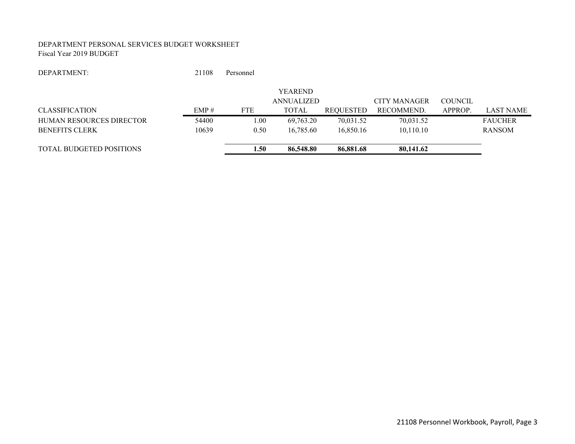#### DEPARTMENT PERSONAL SERVICES BUDGET WORKSHEET Fiscal Year 2019 BUDGET

#### DEPARTMENT:21108 Personnel

|                                 |       |            | <b>YEAREND</b> |           |                     |                |                  |
|---------------------------------|-------|------------|----------------|-----------|---------------------|----------------|------------------|
|                                 |       |            | ANNUALIZED     |           | <b>CITY MANAGER</b> | <b>COUNCIL</b> |                  |
| <b>CLASSIFICATION</b>           | EMP#  | <b>FTE</b> | <b>TOTAL</b>   | REQUESTED | RECOMMEND.          | APPROP.        | <b>LAST NAME</b> |
| <b>HUMAN RESOURCES DIRECTOR</b> | 54400 | 0.00       | 69.763.20      | 70,031.52 | 70.031.52           |                | <b>FAUCHER</b>   |
| <b>BENEFITS CLERK</b>           | 10639 | 0.50       | 16,785.60      | 16.850.16 | 10.110.10           |                | <b>RANSOM</b>    |
| <b>TOTAL BUDGETED POSITIONS</b> |       | 1.50       | 86,548.80      | 86,881.68 | 80,141.62           |                |                  |
|                                 |       |            |                |           |                     |                |                  |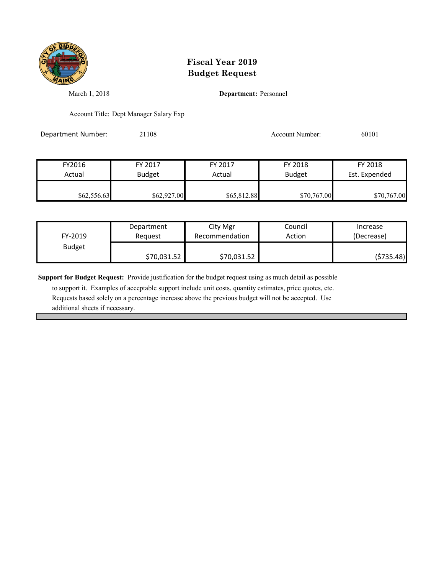

March 1, 2018 **Department:** Personnel

Account Title: Dept Manager Salary Exp

Department Number: 21108 Account Number: 60101

FY2016 FY 2017 FY 2017 FY 2018 FY 2018 Actual Budget **Actual Budget** Actual Budget Est. Expended  $$62,556.63$   $$62,927.00$   $$65,812.88$   $$70,767.00$   $$70,767.00$ 

| FY-2019       | Department  | City Mgr       | Council | Increase   |
|---------------|-------------|----------------|---------|------------|
|               | Reauest     | Recommendation | Action  | (Decrease) |
| <b>Budget</b> | \$70,031.52 | \$70,031.52    |         | (\$735.48) |

**Support for Budget Request:** Provide justification for the budget request using as much detail as possible

 to support it. Examples of acceptable support include unit costs, quantity estimates, price quotes, etc. Requests based solely on a percentage increase above the previous budget will not be accepted. Use additional sheets if necessary.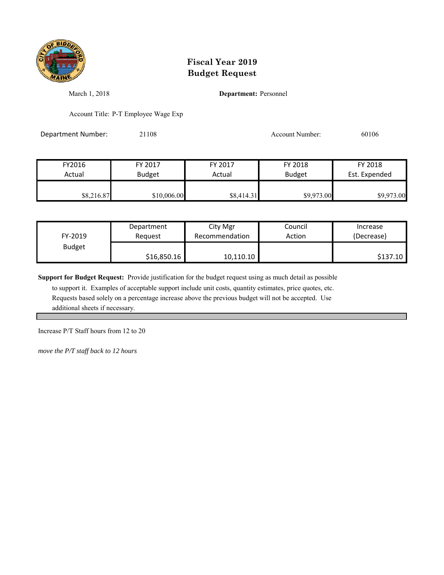

March 1, 2018 **Department:** Personnel

Account Title: P-T Employee Wage Exp

Department Number: 21108 21108 Account Number: 60106

| FY2016     | FY 2017       | FY 2017    | FY 2018       | FY 2018       |
|------------|---------------|------------|---------------|---------------|
| Actual     | <b>Budget</b> | Actual     | <b>Budget</b> | Est. Expended |
|            |               |            |               |               |
| \$8,216.87 | \$10,006.00   | \$8,414.31 | \$9,973.00    | \$9,973.00    |

| FY-2019       | Department  | City Mgr       | Council | Increase            |
|---------------|-------------|----------------|---------|---------------------|
|               | Reauest     | Recommendation | Action  | (Decrease)          |
| <b>Budget</b> | \$16,850.16 | 10,110.10      |         | S <sub>137.10</sub> |

**Support for Budget Request:** Provide justification for the budget request using as much detail as possible

 to support it. Examples of acceptable support include unit costs, quantity estimates, price quotes, etc. Requests based solely on a percentage increase above the previous budget will not be accepted. Use additional sheets if necessary.

Increase P/T Staff hours from 12 to 20

*move the P/T staff back to 12 hours*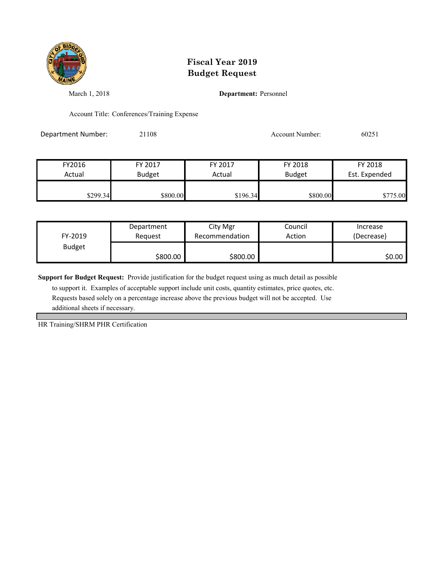

March 1, 2018 **Department:** Personnel

Account Title: Conferences/Training Expense

Department Number: 21108 21108 Account Number: 60251

| FY2016   | FY 2017       | FY 2017  | FY 2018       | FY 2018       |  |
|----------|---------------|----------|---------------|---------------|--|
| Actual   | <b>Budget</b> | Actual   | <b>Budget</b> | Est. Expended |  |
| \$299.34 | \$800.00      | \$196.34 | \$800.00      | \$775.00      |  |

| FY-2019       | Department | City Mgr       | Council | Increase   |
|---------------|------------|----------------|---------|------------|
|               | Reauest    | Recommendation | Action  | (Decrease) |
| <b>Budget</b> | \$800.00   | \$800.00       |         | \$0.00     |

**Support for Budget Request:** Provide justification for the budget request using as much detail as possible

 to support it. Examples of acceptable support include unit costs, quantity estimates, price quotes, etc. Requests based solely on a percentage increase above the previous budget will not be accepted. Use additional sheets if necessary.

HR Training/SHRM PHR Certification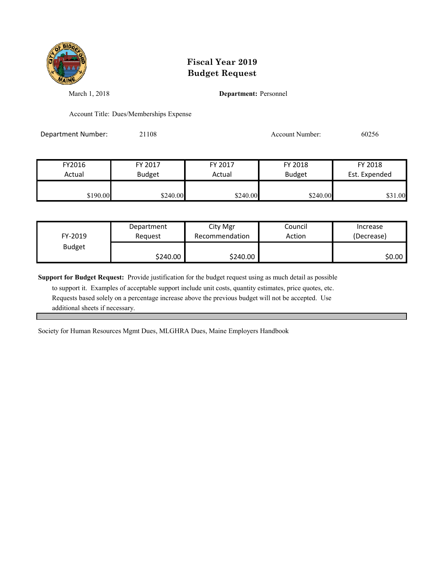

March 1, 2018 **Department:** Personnel

Account Title: Dues/Memberships Expense

Department Number: 21108 20256 Account Number: 60256

| FY2016   | FY 2017       | FY 2017  | FY 2018       | FY 2018       |
|----------|---------------|----------|---------------|---------------|
| Actual   | <b>Budget</b> | Actual   | <b>Budget</b> | Est. Expended |
| \$190.00 | \$240.00      | \$240.00 | \$240.00      | \$31.00       |

| FY-2019       | Department | City Mgr       | Council | Increase   |
|---------------|------------|----------------|---------|------------|
|               | Reauest    | Recommendation | Action  | (Decrease) |
| <b>Budget</b> | \$240.00   | \$240.00       |         | \$0.00     |

**Support for Budget Request:** Provide justification for the budget request using as much detail as possible

 to support it. Examples of acceptable support include unit costs, quantity estimates, price quotes, etc. Requests based solely on a percentage increase above the previous budget will not be accepted. Use additional sheets if necessary.

Society for Human Resources Mgmt Dues, MLGHRA Dues, Maine Employers Handbook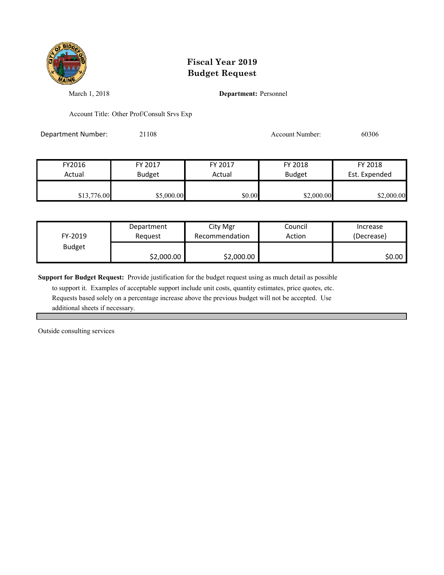

March 1, 2018 **Department:** Personnel

Account Title: Other Prof/Consult Srvs Exp

Department Number: 21108 21108 Account Number: 60306

| FY2016      | FY 2017       | FY 2017 | FY 2018       | FY 2018       |
|-------------|---------------|---------|---------------|---------------|
| Actual      | <b>Budget</b> | Actual  | <b>Budget</b> | Est. Expended |
|             |               |         |               |               |
| \$13,776.00 | \$5,000.00    | \$0.00  | \$2,000.00    | \$2,000.00    |

| FY-2019       | Department | City Mgr       | Council | Increase   |
|---------------|------------|----------------|---------|------------|
|               | Reauest    | Recommendation | Action  | (Decrease) |
| <b>Budget</b> | \$2,000.00 | \$2,000.00     |         | \$0.00∣    |

**Support for Budget Request:** Provide justification for the budget request using as much detail as possible

 to support it. Examples of acceptable support include unit costs, quantity estimates, price quotes, etc. Requests based solely on a percentage increase above the previous budget will not be accepted. Use additional sheets if necessary.

Outside consulting services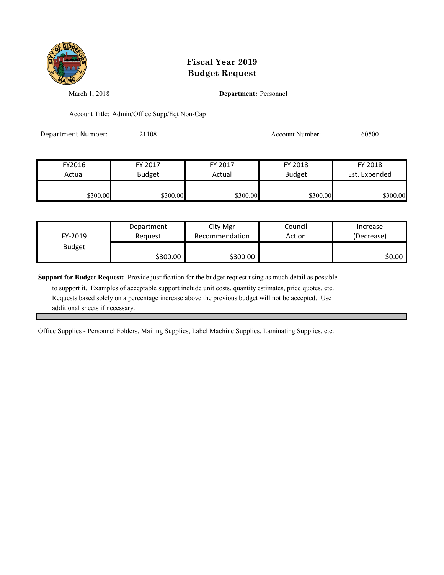

March 1, 2018 **Department:** Personnel

Account Title: Admin/Office Supp/Eqt Non-Cap

Department Number: 21108 21108 Account Number: 60500

| FY2016   | FY 2017       | FY 2017  | FY 2018       | FY 2018       |
|----------|---------------|----------|---------------|---------------|
| Actual   | <b>Budget</b> | Actual   | <b>Budget</b> | Est. Expended |
| \$300.00 | \$300.00      | \$300.00 | \$300.00      | \$300.00      |

| FY-2019       | Department | City Mgr       | Council | Increase   |
|---------------|------------|----------------|---------|------------|
|               | Reauest    | Recommendation | Action  | (Decrease) |
| <b>Budget</b> | \$300.00   | \$300.00       |         | \$0.00     |

**Support for Budget Request:** Provide justification for the budget request using as much detail as possible

 to support it. Examples of acceptable support include unit costs, quantity estimates, price quotes, etc. Requests based solely on a percentage increase above the previous budget will not be accepted. Use additional sheets if necessary.

Office Supplies - Personnel Folders, Mailing Supplies, Label Machine Supplies, Laminating Supplies, etc.